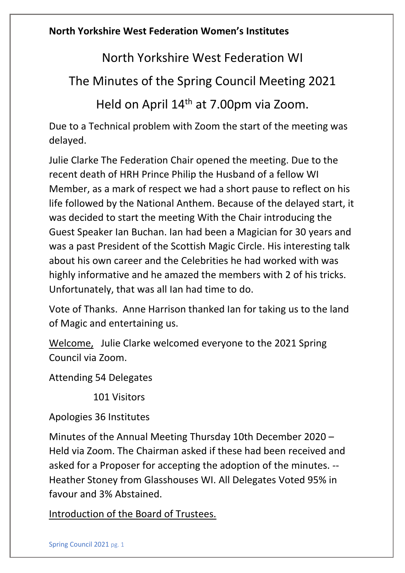North Yorkshire West Federation WI

The Minutes of the Spring Council Meeting 2021

Held on April 14th at 7.00pm via Zoom.

Due to a Technical problem with Zoom the start of the meeting was delayed.

Julie Clarke The Federation Chair opened the meeting. Due to the recent death of HRH Prince Philip the Husband of a fellow WI Member, as a mark of respect we had a short pause to reflect on his life followed by the National Anthem. Because of the delayed start, it was decided to start the meeting With the Chair introducing the Guest Speaker Ian Buchan. Ian had been a Magician for 30 years and was a past President of the Scottish Magic Circle. His interesting talk about his own career and the Celebrities he had worked with was highly informative and he amazed the members with 2 of his tricks. Unfortunately, that was all Ian had time to do.

Vote of Thanks. Anne Harrison thanked Ian for taking us to the land of Magic and entertaining us.

Welcome, Julie Clarke welcomed everyone to the 2021 Spring Council via Zoom.

Attending 54 Delegates

101 Visitors

Apologies 36 Institutes

Minutes of the Annual Meeting Thursday 10th December 2020 – Held via Zoom. The Chairman asked if these had been received and asked for a Proposer for accepting the adoption of the minutes. -- Heather Stoney from Glasshouses WI. All Delegates Voted 95% in favour and 3% Abstained.

Introduction of the Board of Trustees.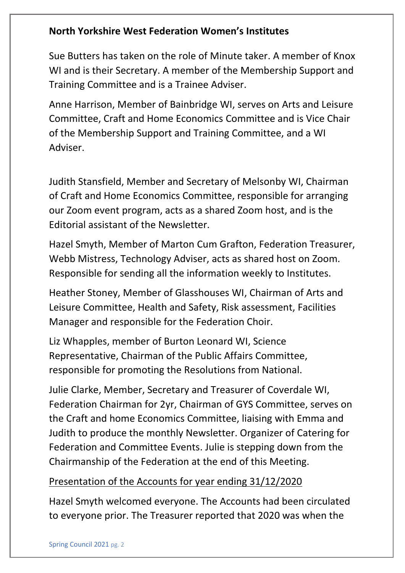Sue Butters has taken on the role of Minute taker. A member of Knox WI and is their Secretary. A member of the Membership Support and Training Committee and is a Trainee Adviser.

Anne Harrison, Member of Bainbridge WI, serves on Arts and Leisure Committee, Craft and Home Economics Committee and is Vice Chair of the Membership Support and Training Committee, and a WI Adviser.

Judith Stansfield, Member and Secretary of Melsonby WI, Chairman of Craft and Home Economics Committee, responsible for arranging our Zoom event program, acts as a shared Zoom host, and is the Editorial assistant of the Newsletter.

Hazel Smyth, Member of Marton Cum Grafton, Federation Treasurer, Webb Mistress, Technology Adviser, acts as shared host on Zoom. Responsible for sending all the information weekly to Institutes.

Heather Stoney, Member of Glasshouses WI, Chairman of Arts and Leisure Committee, Health and Safety, Risk assessment, Facilities Manager and responsible for the Federation Choir.

Liz Whapples, member of Burton Leonard WI, Science Representative, Chairman of the Public Affairs Committee, responsible for promoting the Resolutions from National.

Julie Clarke, Member, Secretary and Treasurer of Coverdale WI, Federation Chairman for 2yr, Chairman of GYS Committee, serves on the Craft and home Economics Committee, liaising with Emma and Judith to produce the monthly Newsletter. Organizer of Catering for Federation and Committee Events. Julie is stepping down from the Chairmanship of the Federation at the end of this Meeting.

## Presentation of the Accounts for year ending 31/12/2020

Hazel Smyth welcomed everyone. The Accounts had been circulated to everyone prior. The Treasurer reported that 2020 was when the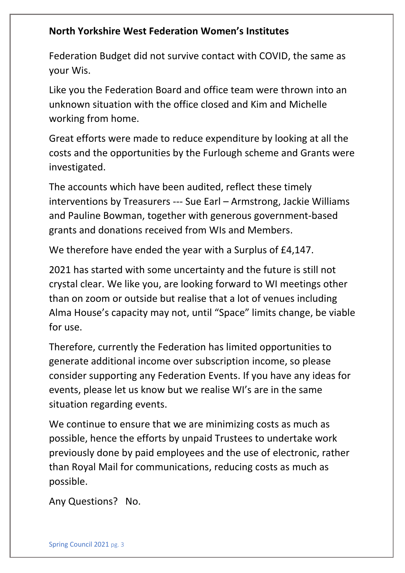Federation Budget did not survive contact with COVID, the same as your Wis.

Like you the Federation Board and office team were thrown into an unknown situation with the office closed and Kim and Michelle working from home.

Great efforts were made to reduce expenditure by looking at all the costs and the opportunities by the Furlough scheme and Grants were investigated.

The accounts which have been audited, reflect these timely interventions by Treasurers --- Sue Earl – Armstrong, Jackie Williams and Pauline Bowman, together with generous government-based grants and donations received from WIs and Members.

We therefore have ended the year with a Surplus of £4,147.

2021 has started with some uncertainty and the future is still not crystal clear. We like you, are looking forward to WI meetings other than on zoom or outside but realise that a lot of venues including Alma House's capacity may not, until "Space" limits change, be viable for use.

Therefore, currently the Federation has limited opportunities to generate additional income over subscription income, so please consider supporting any Federation Events. If you have any ideas for events, please let us know but we realise WI's are in the same situation regarding events.

We continue to ensure that we are minimizing costs as much as possible, hence the efforts by unpaid Trustees to undertake work previously done by paid employees and the use of electronic, rather than Royal Mail for communications, reducing costs as much as possible.

Any Questions? No.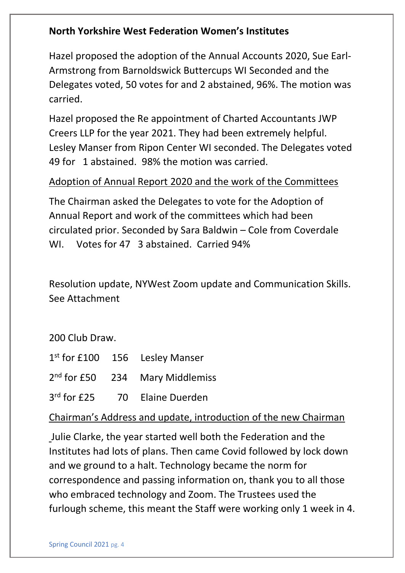Hazel proposed the adoption of the Annual Accounts 2020, Sue Earl-Armstrong from Barnoldswick Buttercups WI Seconded and the Delegates voted, 50 votes for and 2 abstained, 96%. The motion was carried.

Hazel proposed the Re appointment of Charted Accountants JWP Creers LLP for the year 2021. They had been extremely helpful. Lesley Manser from Ripon Center WI seconded. The Delegates voted 49 for 1 abstained. 98% the motion was carried.

#### Adoption of Annual Report 2020 and the work of the Committees

The Chairman asked the Delegates to vote for the Adoption of Annual Report and work of the committees which had been circulated prior. Seconded by Sara Baldwin – Cole from Coverdale WI. Votes for 47 3 abstained. Carried 94%

Resolution update, NYWest Zoom update and Communication Skills. See Attachment

200 Club Draw.

| $1st$ for £100 156 Lesley Manser |  |
|----------------------------------|--|
|----------------------------------|--|

 $2<sup>nd</sup>$  for £50 234 Mary Middlemiss

 $3<sup>rd</sup>$  for £25 70 Elaine Duerden

Chairman's Address and update, introduction of the new Chairman

Julie Clarke, the year started well both the Federation and the Institutes had lots of plans. Then came Covid followed by lock down and we ground to a halt. Technology became the norm for correspondence and passing information on, thank you to all those who embraced technology and Zoom. The Trustees used the furlough scheme, this meant the Staff were working only 1 week in 4.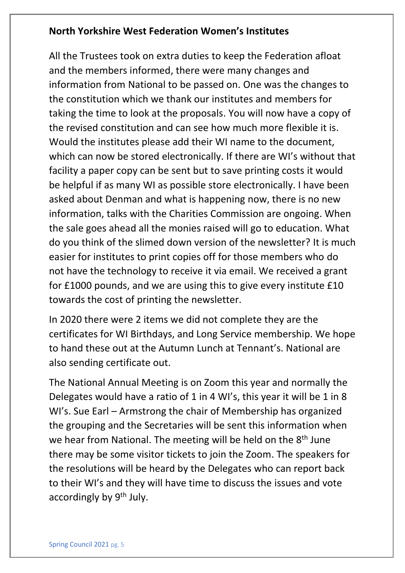All the Trustees took on extra duties to keep the Federation afloat and the members informed, there were many changes and information from National to be passed on. One was the changes to the constitution which we thank our institutes and members for taking the time to look at the proposals. You will now have a copy of the revised constitution and can see how much more flexible it is. Would the institutes please add their WI name to the document, which can now be stored electronically. If there are WI's without that facility a paper copy can be sent but to save printing costs it would be helpful if as many WI as possible store electronically. I have been asked about Denman and what is happening now, there is no new information, talks with the Charities Commission are ongoing. When the sale goes ahead all the monies raised will go to education. What do you think of the slimed down version of the newsletter? It is much easier for institutes to print copies off for those members who do not have the technology to receive it via email. We received a grant for £1000 pounds, and we are using this to give every institute £10 towards the cost of printing the newsletter.

In 2020 there were 2 items we did not complete they are the certificates for WI Birthdays, and Long Service membership. We hope to hand these out at the Autumn Lunch at Tennant's. National are also sending certificate out.

The National Annual Meeting is on Zoom this year and normally the Delegates would have a ratio of 1 in 4 WI's, this year it will be 1 in 8 WI's. Sue Earl – Armstrong the chair of Membership has organized the grouping and the Secretaries will be sent this information when we hear from National. The meeting will be held on the 8<sup>th</sup> June there may be some visitor tickets to join the Zoom. The speakers for the resolutions will be heard by the Delegates who can report back to their WI's and they will have time to discuss the issues and vote accordingly by 9<sup>th</sup> July.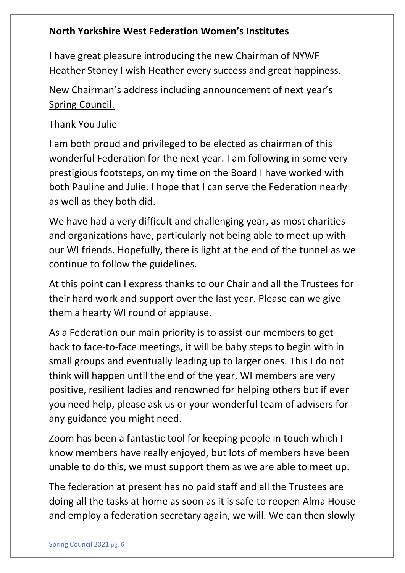I have great pleasure introducing the new Chairman of NYWF Heather Stoney I wish Heather every success and great happiness.

# New Chairman's address including announcement of next year's Spring Council.

Thank You Julie

I am both proud and privileged to be elected as chairman of this wonderful Federation for the next year. I am following in some very prestigious footsteps, on my time on the Board I have worked with both Pauline and Julie. I hope that I can serve the Federation nearly as well as they both did.

We have had a very difficult and challenging year, as most charities and organizations have, particularly not being able to meet up with our WI friends. Hopefully, there is light at the end of the tunnel as we continue to follow the guidelines.

At this point can I express thanks to our Chair and all the Trustees for their hard work and support over the last year. Please can we give them a hearty WI round of applause.

As a Federation our main priority is to assist our members to get back to face-to-face meetings, it will be baby steps to begin with in small groups and eventually leading up to larger ones. This I do not think will happen until the end of the year, WI members are very positive, resilient ladies and renowned for helping others but if ever you need help, please ask us or your wonderful team of advisers for any guidance you might need.

Zoom has been a fantastic tool for keeping people in touch which I know members have really enjoyed, but lots of members have been unable to do this, we must support them as we are able to meet up.

The federation at present has no paid staff and all the Trustees are doing all the tasks at home as soon as it is safe to reopen Alma House and employ a federation secretary again, we will. We can then slowly